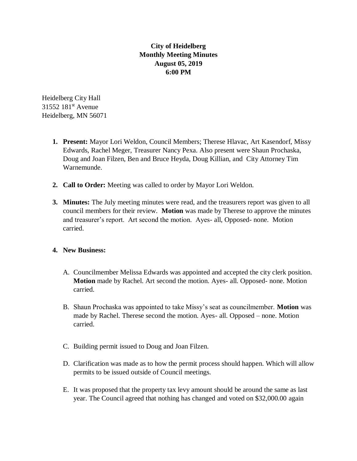## **City of Heidelberg Monthly Meeting Minutes August 05, 2019 6:00 PM**

Heidelberg City Hall 31552 181<sup>st</sup> Avenue Heidelberg, MN 56071

- **1. Present:** Mayor Lori Weldon, Council Members; Therese Hlavac, Art Kasendorf, Missy Edwards, Rachel Meger, Treasurer Nancy Pexa. Also present were Shaun Prochaska, Doug and Joan Filzen, Ben and Bruce Heyda, Doug Killian, and City Attorney Tim Warnemunde.
- **2. Call to Order:** Meeting was called to order by Mayor Lori Weldon.
- **3. Minutes:** The July meeting minutes were read, and the treasurers report was given to all council members for their review. **Motion** was made by Therese to approve the minutes and treasurer's report. Art second the motion. Ayes- all, Opposed- none. Motion carried.

## **4. New Business:**

- A. Councilmember Melissa Edwards was appointed and accepted the city clerk position. **Motion** made by Rachel. Art second the motion. Ayes- all. Opposed- none. Motion carried.
- B. Shaun Prochaska was appointed to take Missy's seat as councilmember. **Motion** was made by Rachel. Therese second the motion. Ayes- all. Opposed – none. Motion carried.
- C. Building permit issued to Doug and Joan Filzen.
- D. Clarification was made as to how the permit process should happen. Which will allow permits to be issued outside of Council meetings.
- E. It was proposed that the property tax levy amount should be around the same as last year. The Council agreed that nothing has changed and voted on \$32,000.00 again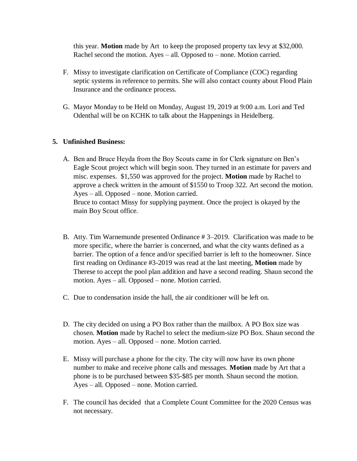this year. **Motion** made by Art to keep the proposed property tax levy at \$32,000. Rachel second the motion. Ayes – all. Opposed to – none. Motion carried.

- F. Missy to investigate clarification on Certificate of Compliance (COC) regarding septic systems in reference to permits. She will also contact county about Flood Plain Insurance and the ordinance process.
- G. Mayor Monday to be Held on Monday, August 19, 2019 at 9:00 a.m. Lori and Ted Odenthal will be on KCHK to talk about the Happenings in Heidelberg.

## **5. Unfinished Business:**

- A. Ben and Bruce Heyda from the Boy Scouts came in for Clerk signature on Ben's Eagle Scout project which will begin soon. They turned in an estimate for pavers and misc. expenses. \$1,550 was approved for the project. **Motion** made by Rachel to approve a check written in the amount of \$1550 to Troop 322. Art second the motion. Ayes – all. Opposed – none. Motion carried. Bruce to contact Missy for supplying payment. Once the project is okayed by the main Boy Scout office.
- B. Atty. Tim Warnemunde presented Ordinance # 3–2019. Clarification was made to be more specific, where the barrier is concerned, and what the city wants defined as a barrier. The option of a fence and/or specified barrier is left to the homeowner. Since first reading on Ordinance #3-2019 was read at the last meeting, **Motion** made by Therese to accept the pool plan addition and have a second reading. Shaun second the motion. Ayes – all. Opposed – none. Motion carried.
- C. Due to condensation inside the hall, the air conditioner will be left on.
- D. The city decided on using a PO Box rather than the mailbox. A PO Box size was chosen. **Motion** made by Rachel to select the medium-size PO Box. Shaun second the motion. Ayes – all. Opposed – none. Motion carried.
- E. Missy will purchase a phone for the city. The city will now have its own phone number to make and receive phone calls and messages. **Motion** made by Art that a phone is to be purchased between \$35-\$85 per month. Shaun second the motion. Ayes – all. Opposed – none. Motion carried.
- F. The council has decided that a Complete Count Committee for the 2020 Census was not necessary.